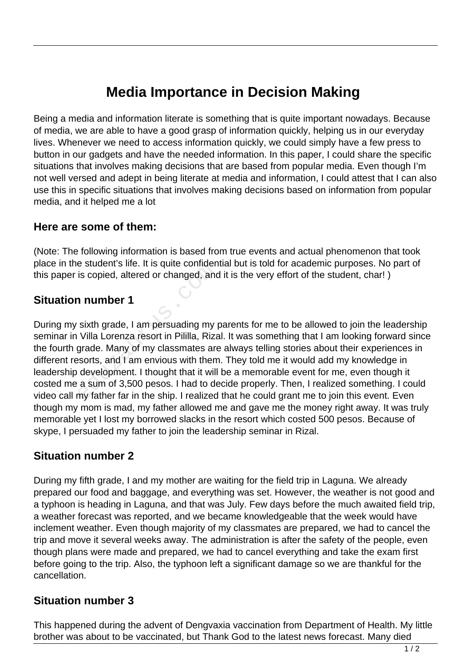# **Media Importance in Decision Making**

Being a media and information literate is something that is quite important nowadays. Because of media, we are able to have a good grasp of information quickly, helping us in our everyday lives. Whenever we need to access information quickly, we could simply have a few press to button in our gadgets and have the needed information. In this paper, I could share the specific situations that involves making decisions that are based from popular media. Even though I'm not well versed and adept in being literate at media and information, I could attest that I can also use this in specific situations that involves making decisions based on information from popular media, and it helped me a lot

#### **Here are some of them:**

(Note: The following information is based from true events and actual phenomenon that took place in the student's life. It is quite confidential but is told for academic purposes. No part of this paper is copied, altered or changed, and it is the very effort of the student, char! )

## **Situation number 1**

During my sixth grade, I am persuading my parents for me to be allowed to join the leadership seminar in Villa Lorenza resort in Pililla, Rizal. It was something that I am looking forward since the fourth grade. Many of my classmates are always telling stories about their experiences in different resorts, and I am envious with them. They told me it would add my knowledge in leadership development. I thought that it will be a memorable event for me, even though it costed me a sum of 3,500 pesos. I had to decide properly. Then, I realized something. I could video call my father far in the ship. I realized that he could grant me to join this event. Even though my mom is mad, my father allowed me and gave me the money right away. It was truly memorable yet I lost my borrowed slacks in the resort which costed 500 pesos. Because of skype, I persuaded my father to join the leadership seminar in Rizal. is copied, altered or changed, and<br> **number 1**<br>
sixth grade, I am persuading my p<br>
Villa Lorenza resort in Pililla, Riza<br>
grade. Many of my classmates are<br>
ssorts, and I am envious with them<br>
development. I thought that it

## **Situation number 2**

During my fifth grade, I and my mother are waiting for the field trip in Laguna. We already prepared our food and baggage, and everything was set. However, the weather is not good and a typhoon is heading in Laguna, and that was July. Few days before the much awaited field trip, a weather forecast was reported, and we became knowledgeable that the week would have inclement weather. Even though majority of my classmates are prepared, we had to cancel the trip and move it several weeks away. The administration is after the safety of the people, even though plans were made and prepared, we had to cancel everything and take the exam first before going to the trip. Also, the typhoon left a significant damage so we are thankful for the cancellation.

### **Situation number 3**

This happened during the advent of Dengvaxia vaccination from Department of Health. My little brother was about to be vaccinated, but Thank God to the latest news forecast. Many died